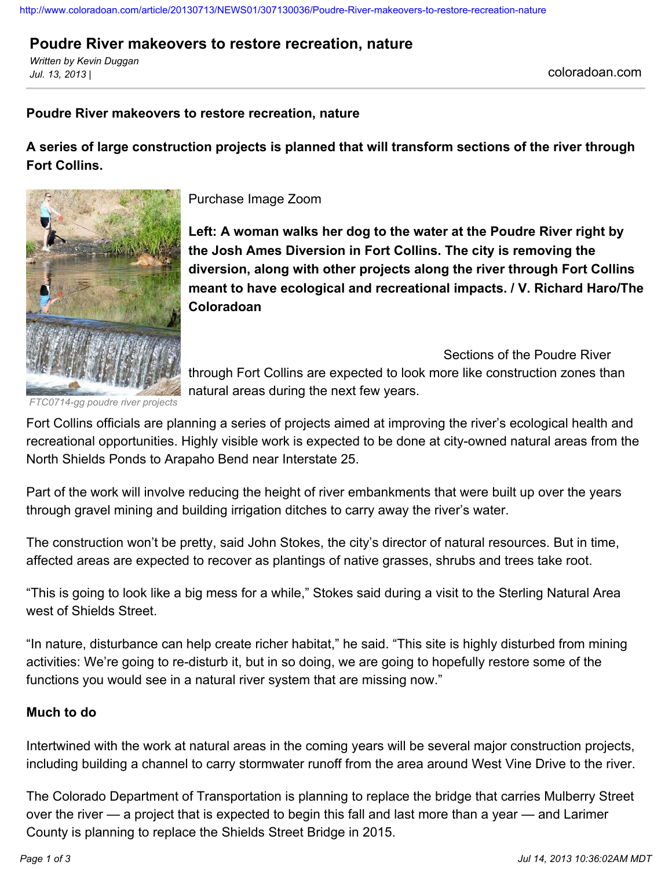#### <http://www.coloradoan.com/article/20130713/NEWS01/307130036/Poudre-River-makeovers-to-restore-recreation-nature>

# **Poudre River makeovers to restore recreation, nature**

*Written by Kevin Duggan Jul. 13, 2013 |* coloradoan.com

## **Poudre River makeovers to restore recreation, nature**

**A series of large construction projects is planned that will transform sections of the river through Fort Collins.**



Purchase Image Zoom

**Left: A woman walks her dog to the water at the Poudre River right by the Josh Ames Diversion in Fort Collins. The city is removing the diversion, along with other projects along the river through Fort Collins meant to have ecological and recreational impacts. / V. Richard Haro/The Coloradoan**

Sections of the Poudre River through Fort Collins are expected to look more like construction zones than natural areas during the next few years.

*FTC0714-gg poudre river projects*

Fort Collins officials are planning a series of projects aimed at improving the river's ecological health and recreational opportunities. Highly visible work is expected to be done at city-owned natural areas from the North Shields Ponds to Arapaho Bend near Interstate 25.

Part of the work will involve reducing the height of river embankments that were built up over the years through gravel mining and building irrigation ditches to carry away the river's water.

The construction won't be pretty, said John Stokes, the city's director of natural resources. But in time, affected areas are expected to recover as plantings of native grasses, shrubs and trees take root.

"This is going to look like a big mess for a while," Stokes said during a visit to the Sterling Natural Area west of Shields Street.

"In nature, disturbance can help create richer habitat," he said. "This site is highly disturbed from mining activities: We're going to re-disturb it, but in so doing, we are going to hopefully restore some of the functions you would see in a natural river system that are missing now."

#### **Much to do**

Intertwined with the work at natural areas in the coming years will be several major construction projects, including building a channel to carry stormwater runoff from the area around West Vine Drive to the river.

The Colorado Department of Transportation is planning to replace the bridge that carries Mulberry Street over the river — a project that is expected to begin this fall and last more than a year — and Larimer County is planning to replace the Shields Street Bridge in 2015.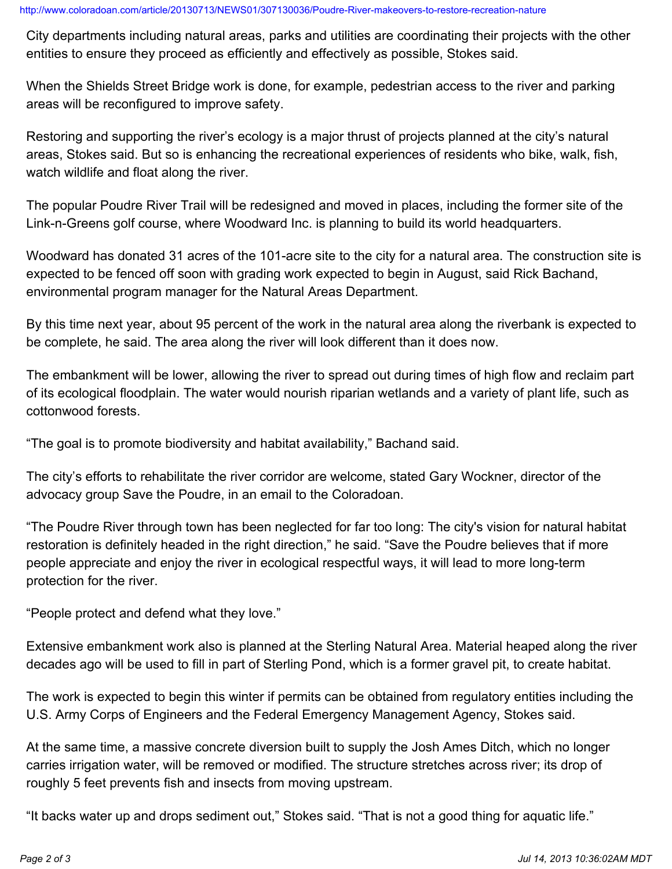City departments including natural areas, parks and utilities are coordinating their projects with the other entities to ensure they proceed as efficiently and effectively as possible, Stokes said.

When the Shields Street Bridge work is done, for example, pedestrian access to the river and parking areas will be reconfigured to improve safety.

Restoring and supporting the river's ecology is a major thrust of projects planned at the city's natural areas, Stokes said. But so is enhancing the recreational experiences of residents who bike, walk, fish, watch wildlife and float along the river.

The popular Poudre River Trail will be redesigned and moved in places, including the former site of the Link-n-Greens golf course, where Woodward Inc. is planning to build its world headquarters.

Woodward has donated 31 acres of the 101-acre site to the city for a natural area. The construction site is expected to be fenced off soon with grading work expected to begin in August, said Rick Bachand, environmental program manager for the Natural Areas Department.

By this time next year, about 95 percent of the work in the natural area along the riverbank is expected to be complete, he said. The area along the river will look different than it does now.

The embankment will be lower, allowing the river to spread out during times of high flow and reclaim part of its ecological floodplain. The water would nourish riparian wetlands and a variety of plant life, such as cottonwood forests.

"The goal is to promote biodiversity and habitat availability," Bachand said.

The city's efforts to rehabilitate the river corridor are welcome, stated Gary Wockner, director of the advocacy group Save the Poudre, in an email to the Coloradoan.

"The Poudre River through town has been neglected for far too long: The city's vision for natural habitat restoration is definitely headed in the right direction," he said. "Save the Poudre believes that if more people appreciate and enjoy the river in ecological respectful ways, it will lead to more long-term protection for the river.

"People protect and defend what they love."

Extensive embankment work also is planned at the Sterling Natural Area. Material heaped along the river decades ago will be used to fill in part of Sterling Pond, which is a former gravel pit, to create habitat.

The work is expected to begin this winter if permits can be obtained from regulatory entities including the U.S. Army Corps of Engineers and the Federal Emergency Management Agency, Stokes said.

At the same time, a massive concrete diversion built to supply the Josh Ames Ditch, which no longer carries irrigation water, will be removed or modified. The structure stretches across river; its drop of roughly 5 feet prevents fish and insects from moving upstream.

"It backs water up and drops sediment out," Stokes said. "That is not a good thing for aquatic life."